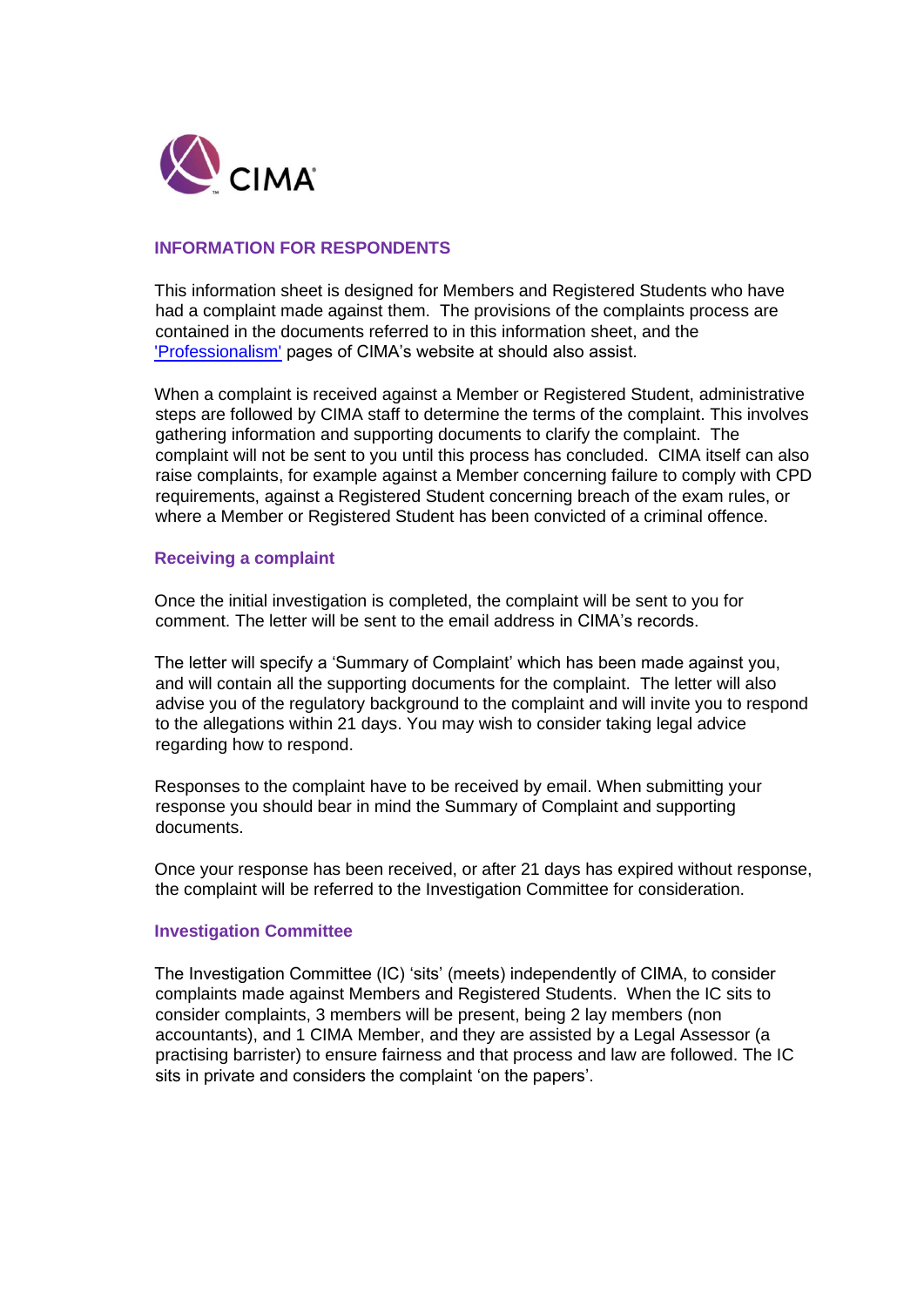

# **INFORMATION FOR RESPONDENTS**

This information sheet is designed for Members and Registered Students who have had a complaint made against them. The provisions of the complaints process are contained in the documents referred to in this information sheet, and the ['Professionalism'](http://www.cimaglobal.com/Professional-ethics) [p](http://www.cimaglobal.com/Professional-ethics)ages of CIMA's website at should also assist.

When a complaint is received against a Member or Registered Student, administrative steps are followed by CIMA staff to determine the terms of the complaint. This involves gathering information and supporting documents to clarify the complaint. The complaint will not be sent to you until this process has concluded. CIMA itself can also raise complaints, for example against a Member concerning failure to comply with CPD requirements, against a Registered Student concerning breach of the exam rules, or where a Member or Registered Student has been convicted of a criminal offence.

## **Receiving a complaint**

Once the initial investigation is completed, the complaint will be sent to you for comment. The letter will be sent to the email address in CIMA's records.

The letter will specify a 'Summary of Complaint' which has been made against you, and will contain all the supporting documents for the complaint. The letter will also advise you of the regulatory background to the complaint and will invite you to respond to the allegations within 21 days. You may wish to consider taking legal advice regarding how to respond.

Responses to the complaint have to be received by email. When submitting your response you should bear in mind the Summary of Complaint and supporting documents.

Once your response has been received, or after 21 days has expired without response, the complaint will be referred to the Investigation Committee for consideration.

### **Investigation Committee**

The Investigation Committee (IC) 'sits' (meets) independently of CIMA, to consider complaints made against Members and Registered Students. When the IC sits to consider complaints, 3 members will be present, being 2 lay members (non accountants), and 1 CIMA Member, and they are assisted by a Legal Assessor (a practising barrister) to ensure fairness and that process and law are followed. The IC sits in private and considers the complaint 'on the papers'.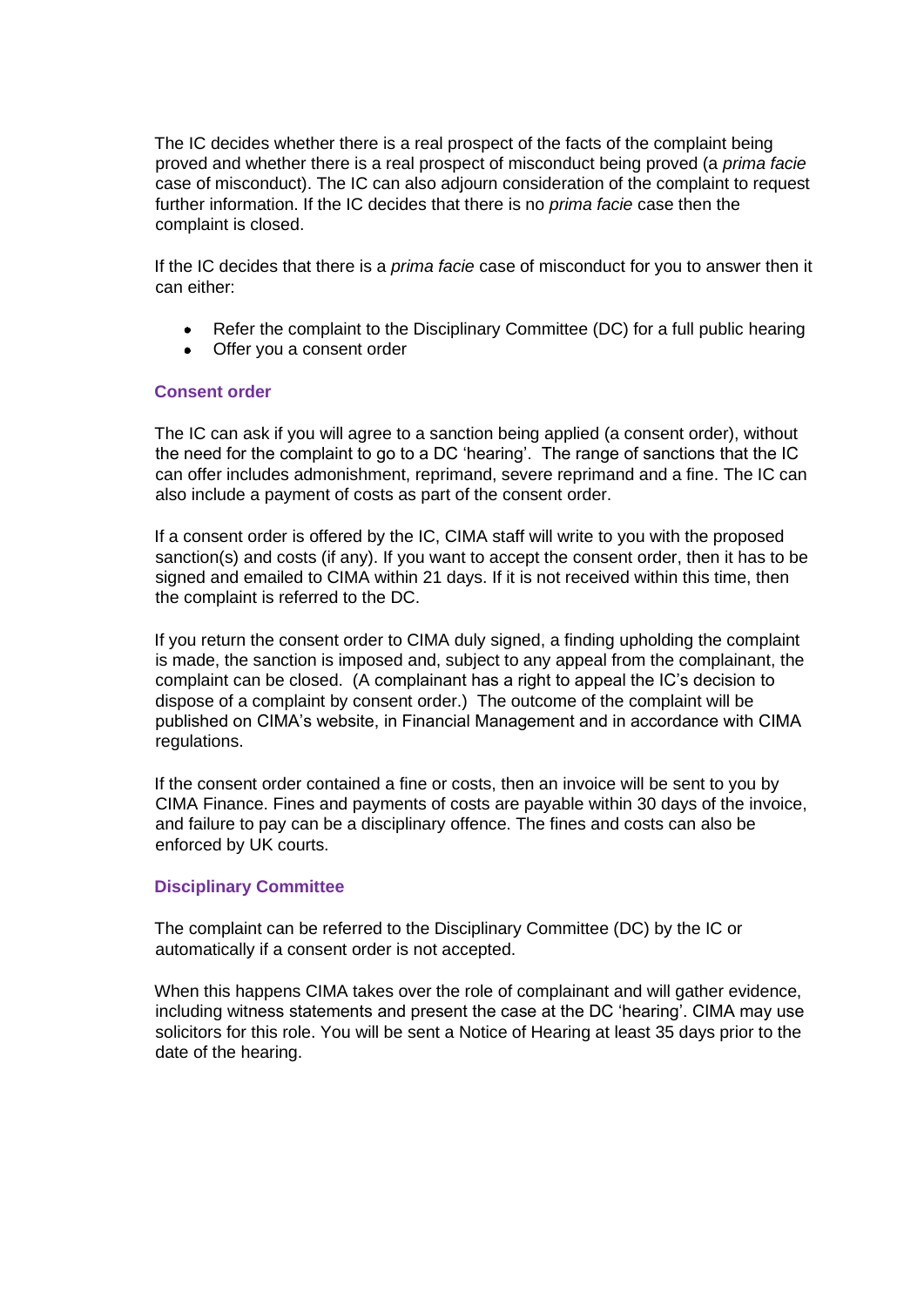The IC decides whether there is a real prospect of the facts of the complaint being proved and whether there is a real prospect of misconduct being proved (a *prima facie*  case of misconduct). The IC can also adjourn consideration of the complaint to request further information. If the IC decides that there is no *prima facie* case then the complaint is closed.

If the IC decides that there is a *prima facie* case of misconduct for you to answer then it can either:

- Refer the complaint to the Disciplinary Committee (DC) for a full public hearing  $\bullet$
- Offer you a consent order

## **Consent order**

The IC can ask if you will agree to a sanction being applied (a consent order), without the need for the complaint to go to a DC 'hearing'. The range of sanctions that the IC can offer includes admonishment, reprimand, severe reprimand and a fine. The IC can also include a payment of costs as part of the consent order.

If a consent order is offered by the IC, CIMA staff will write to you with the proposed sanction(s) and costs (if any). If you want to accept the consent order, then it has to be signed and emailed to CIMA within 21 days. If it is not received within this time, then the complaint is referred to the DC.

If you return the consent order to CIMA duly signed, a finding upholding the complaint is made, the sanction is imposed and, subject to any appeal from the complainant, the complaint can be closed. (A complainant has a right to appeal the IC's decision to dispose of a complaint by consent order.) The outcome of the complaint will be published on CIMA's website, in Financial Management and in accordance with CIMA regulations.

If the consent order contained a fine or costs, then an invoice will be sent to you by CIMA Finance. Fines and payments of costs are payable within 30 days of the invoice, and failure to pay can be a disciplinary offence. The fines and costs can also be enforced by UK courts.

### **Disciplinary Committee**

The complaint can be referred to the Disciplinary Committee (DC) by the IC or automatically if a consent order is not accepted.

When this happens CIMA takes over the role of complainant and will gather evidence, including witness statements and present the case at the DC 'hearing'. CIMA may use solicitors for this role. You will be sent a Notice of Hearing at least 35 days prior to the date of the hearing.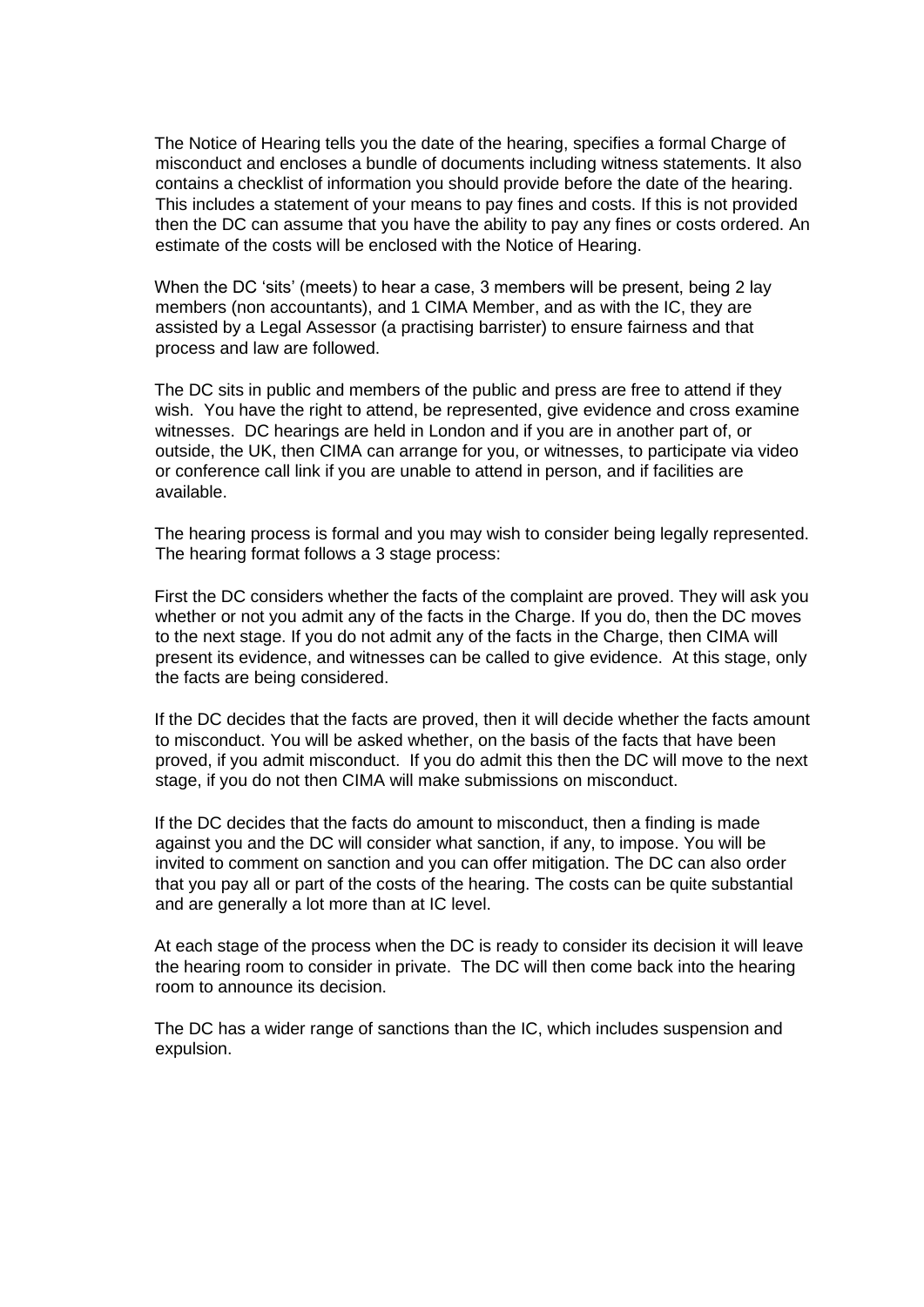The Notice of Hearing tells you the date of the hearing, specifies a formal Charge of misconduct and encloses a bundle of documents including witness statements. It also contains a checklist of information you should provide before the date of the hearing. This includes a statement of your means to pay fines and costs. If this is not provided then the DC can assume that you have the ability to pay any fines or costs ordered. An estimate of the costs will be enclosed with the Notice of Hearing.

When the DC 'sits' (meets) to hear a case, 3 members will be present, being 2 lay members (non accountants), and 1 CIMA Member, and as with the IC, they are assisted by a Legal Assessor (a practising barrister) to ensure fairness and that process and law are followed.

The DC sits in public and members of the public and press are free to attend if they wish. You have the right to attend, be represented, give evidence and cross examine witnesses. DC hearings are held in London and if you are in another part of, or outside, the UK, then CIMA can arrange for you, or witnesses, to participate via video or conference call link if you are unable to attend in person, and if facilities are available.

The hearing process is formal and you may wish to consider being legally represented. The hearing format follows a 3 stage process:

First the DC considers whether the facts of the complaint are proved. They will ask you whether or not you admit any of the facts in the Charge. If you do, then the DC moves to the next stage. If you do not admit any of the facts in the Charge, then CIMA will present its evidence, and witnesses can be called to give evidence. At this stage, only the facts are being considered.

If the DC decides that the facts are proved, then it will decide whether the facts amount to misconduct. You will be asked whether, on the basis of the facts that have been proved, if you admit misconduct. If you do admit this then the DC will move to the next stage, if you do not then CIMA will make submissions on misconduct.

If the DC decides that the facts do amount to misconduct, then a finding is made against you and the DC will consider what sanction, if any, to impose. You will be invited to comment on sanction and you can offer mitigation. The DC can also order that you pay all or part of the costs of the hearing. The costs can be quite substantial and are generally a lot more than at IC level.

At each stage of the process when the DC is ready to consider its decision it will leave the hearing room to consider in private. The DC will then come back into the hearing room to announce its decision.

The DC has a wider range of sanctions than the IC, which includes suspension and expulsion.